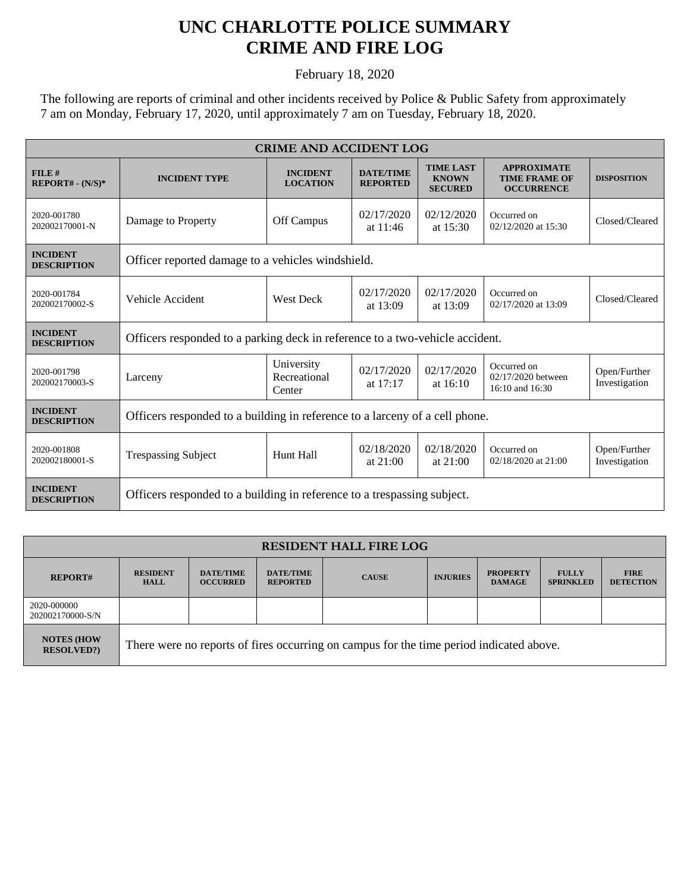## **UNC CHARLOTTE POLICE SUMMARY CRIME AND FIRE LOG**

February 18, 2020

The following are reports of criminal and other incidents received by Police & Public Safety from approximately 7 am on Monday, February 17, 2020, until approximately 7 am on Tuesday, February 18, 2020.

| <b>CRIME AND ACCIDENT LOG</b>         |                                                                              |                                      |                                     |                                                    |                                                                 |                               |  |
|---------------------------------------|------------------------------------------------------------------------------|--------------------------------------|-------------------------------------|----------------------------------------------------|-----------------------------------------------------------------|-------------------------------|--|
| FILE#<br>$REPORT# - (N/S)*$           | <b>INCIDENT TYPE</b>                                                         | <b>INCIDENT</b><br><b>LOCATION</b>   | <b>DATE/TIME</b><br><b>REPORTED</b> | <b>TIME LAST</b><br><b>KNOWN</b><br><b>SECURED</b> | <b>APPROXIMATE</b><br><b>TIME FRAME OF</b><br><b>OCCURRENCE</b> | <b>DISPOSITION</b>            |  |
| 2020-001780<br>202002170001-N         | Damage to Property                                                           | Off Campus                           | 02/17/2020<br>at $11:46$            | 02/12/2020<br>at $15:30$                           | Occurred on<br>02/12/2020 at 15:30                              | Closed/Cleared                |  |
| <b>INCIDENT</b><br><b>DESCRIPTION</b> | Officer reported damage to a vehicles windshield.                            |                                      |                                     |                                                    |                                                                 |                               |  |
| 2020-001784<br>202002170002-S         | Vehicle Accident                                                             | <b>West Deck</b>                     | 02/17/2020<br>at $13:09$            | 02/17/2020<br>at $13:09$                           | Occurred on<br>02/17/2020 at 13:09                              | Closed/Cleared                |  |
| <b>INCIDENT</b><br><b>DESCRIPTION</b> | Officers responded to a parking deck in reference to a two-vehicle accident. |                                      |                                     |                                                    |                                                                 |                               |  |
| 2020-001798<br>202002170003-S         | Larceny                                                                      | University<br>Recreational<br>Center | 02/17/2020<br>at $17:17$            | 02/17/2020<br>at $16:10$                           | Occurred on<br>02/17/2020 between<br>16:10 and 16:30            | Open/Further<br>Investigation |  |
| <b>INCIDENT</b><br><b>DESCRIPTION</b> | Officers responded to a building in reference to a larceny of a cell phone.  |                                      |                                     |                                                    |                                                                 |                               |  |
| 2020-001808<br>202002180001-S         | <b>Trespassing Subject</b>                                                   | Hunt Hall                            | 02/18/2020<br>at $21:00$            | 02/18/2020<br>at $21:00$                           | Occurred on<br>02/18/2020 at 21:00                              | Open/Further<br>Investigation |  |
| <b>INCIDENT</b><br><b>DESCRIPTION</b> | Officers responded to a building in reference to a trespassing subject.      |                                      |                                     |                                                    |                                                                 |                               |  |

| <b>RESIDENT HALL FIRE LOG</b>          |                                                                                         |                                     |                                     |              |                 |                                  |                                  |                                 |
|----------------------------------------|-----------------------------------------------------------------------------------------|-------------------------------------|-------------------------------------|--------------|-----------------|----------------------------------|----------------------------------|---------------------------------|
| <b>REPORT#</b>                         | <b>RESIDENT</b><br><b>HALL</b>                                                          | <b>DATE/TIME</b><br><b>OCCURRED</b> | <b>DATE/TIME</b><br><b>REPORTED</b> | <b>CAUSE</b> | <b>INJURIES</b> | <b>PROPERTY</b><br><b>DAMAGE</b> | <b>FULLY</b><br><b>SPRINKLED</b> | <b>FIRE</b><br><b>DETECTION</b> |
| 2020-000000<br>202002170000-S/N        |                                                                                         |                                     |                                     |              |                 |                                  |                                  |                                 |
| <b>NOTES (HOW</b><br><b>RESOLVED?)</b> | There were no reports of fires occurring on campus for the time period indicated above. |                                     |                                     |              |                 |                                  |                                  |                                 |